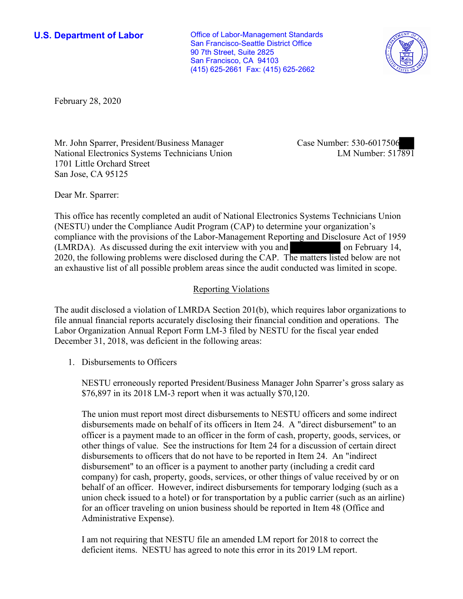**U.S. Department of Labor Conservative Conservative Conservative Conservative Conservative Conservative Conservative Conservative Conservative Conservative Conservative Conservative Conservative Conservative Conservative** San Francisco-Seattle District Office 90 7th Street, Suite 2825 San Francisco, CA 94103 (415) 625-2661 Fax: (415) 625-2662



February 28, 2020

Mr. John Sparrer, President/Business Manager National Electronics Systems Technicians Union 1701 Little Orchard Street San Jose, CA 95125

Case Number: 530-6017506<br>LM Number: 517891

Dear Mr. Sparrer:

This office has recently completed an audit of National Electronics Systems Technicians Union (NESTU) under the Compliance Audit Program (CAP) to determine your organization's compliance with the provisions of the Labor-Management Reporting and Disclosure Act of 1959 (LMRDA). As discussed during the exit interview with you and on February 14, 2020, the following problems were disclosed during the CAP. The matters listed below are not an exhaustive list of all possible problem areas since the audit conducted was limited in scope.

## Reporting Violations

The audit disclosed a violation of LMRDA Section 201(b), which requires labor organizations to file annual financial reports accurately disclosing their financial condition and operations. The Labor Organization Annual Report Form LM-3 filed by NESTU for the fiscal year ended December 31, 2018, was deficient in the following areas:

1. Disbursements to Officers

NESTU erroneously reported President/Business Manager John Sparrer's gross salary as \$76,897 in its 2018 LM-3 report when it was actually \$70,120.

The union must report most direct disbursements to NESTU officers and some indirect disbursements made on behalf of its officers in Item 24. A "direct disbursement" to an officer is a payment made to an officer in the form of cash, property, goods, services, or other things of value. See the instructions for Item 24 for a discussion of certain direct disbursements to officers that do not have to be reported in Item 24. An "indirect disbursement" to an officer is a payment to another party (including a credit card company) for cash, property, goods, services, or other things of value received by or on behalf of an officer. However, indirect disbursements for temporary lodging (such as a union check issued to a hotel) or for transportation by a public carrier (such as an airline) for an officer traveling on union business should be reported in Item 48 (Office and Administrative Expense).

I am not requiring that NESTU file an amended LM report for 2018 to correct the deficient items. NESTU has agreed to note this error in its 2019 LM report.